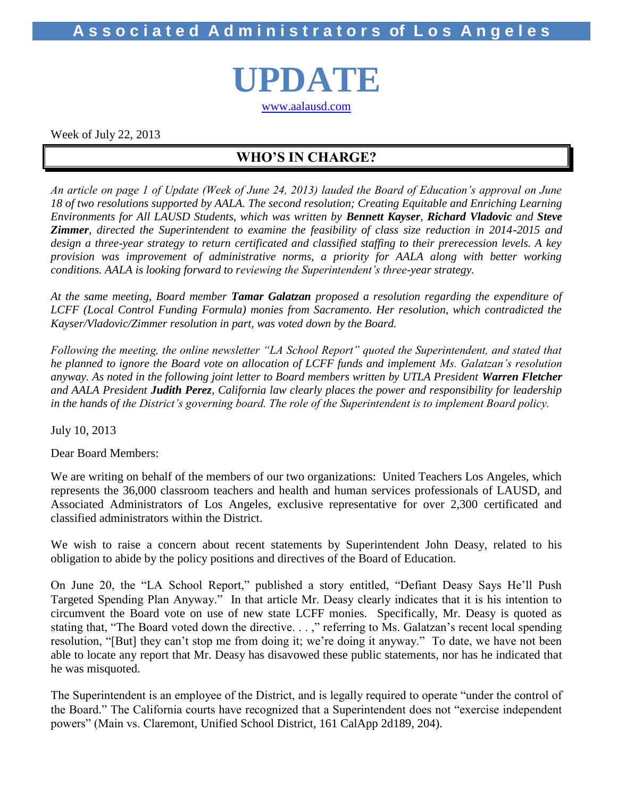**A s s o c i a t e d A d m i n i s t r a t o r s of L o s A n g e l e s**

**UPDATE** [www.aalausd.com](http://www.aalausd.com/)

Week of July 22, 2013

### **WHO'S IN CHARGE?**

*An article on page 1 of Update (Week of June 24, 2013) lauded the Board of Education's approval on June 18 of two resolutions supported by AALA. The second resolution; Creating Equitable and Enriching Learning Environments for All LAUSD Students, which was written by Bennett Kayser, Richard Vladovic and Steve Zimmer, directed the Superintendent to examine the feasibility of class size reduction in 2014-2015 and design a three-year strategy to return certificated and classified staffing to their prerecession levels. A key provision was improvement of administrative norms, a priority for AALA along with better working conditions. AALA is looking forward to reviewing the Superintendent's three-year strategy.* 

*At the same meeting, Board member Tamar Galatzan proposed a resolution regarding the expenditure of LCFF (Local Control Funding Formula) monies from Sacramento. Her resolution, which contradicted the Kayser/Vladovic/Zimmer resolution in part, was voted down by the Board.* 

*Following the meeting, the online newsletter "LA School Report" quoted the Superintendent, and stated that he planned to ignore the Board vote on allocation of LCFF funds and implement Ms. Galatzan's resolution anyway. As noted in the following joint letter to Board members written by UTLA President Warren Fletcher and AALA President Judith Perez, California law clearly places the power and responsibility for leadership in the hands of the District's governing board. The role of the Superintendent is to implement Board policy.* 

July 10, 2013

Dear Board Members:

We are writing on behalf of the members of our two organizations: United Teachers Los Angeles, which represents the 36,000 classroom teachers and health and human services professionals of LAUSD, and Associated Administrators of Los Angeles, exclusive representative for over 2,300 certificated and classified administrators within the District.

We wish to raise a concern about recent statements by Superintendent John Deasy, related to his obligation to abide by the policy positions and directives of the Board of Education.

On June 20, the "LA School Report," published a story entitled, "Defiant Deasy Says He'll Push Targeted Spending Plan Anyway." In that article Mr. Deasy clearly indicates that it is his intention to circumvent the Board vote on use of new state LCFF monies. Specifically, Mr. Deasy is quoted as stating that, "The Board voted down the directive. . . ," referring to Ms. Galatzan's recent local spending resolution, "[But] they can't stop me from doing it; we're doing it anyway." To date, we have not been able to locate any report that Mr. Deasy has disavowed these public statements, nor has he indicated that he was misquoted.

The Superintendent is an employee of the District, and is legally required to operate "under the control of the Board." The California courts have recognized that a Superintendent does not "exercise independent powers" (Main vs. Claremont, Unified School District, 161 CalApp 2d189, 204).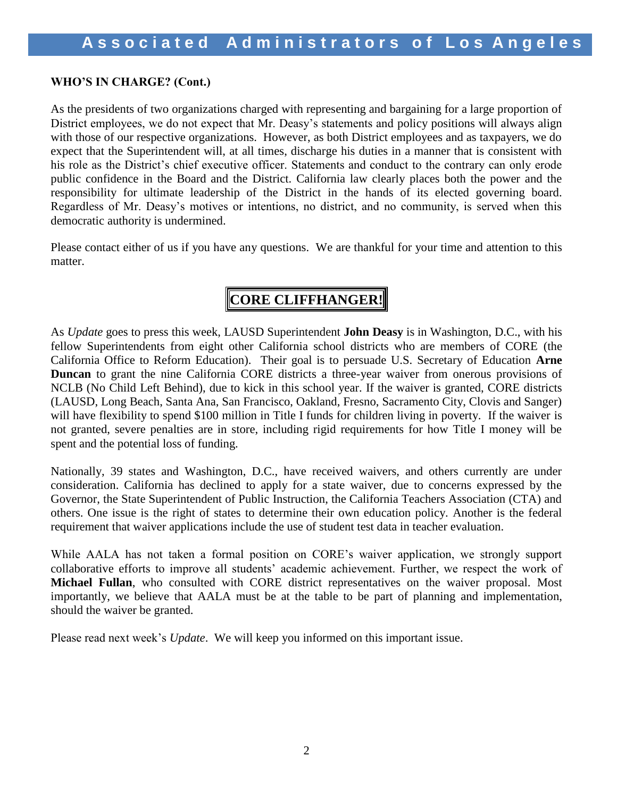### **WHO'S IN CHARGE? (Cont.)**

As the presidents of two organizations charged with representing and bargaining for a large proportion of District employees, we do not expect that Mr. Deasy's statements and policy positions will always align with those of our respective organizations. However, as both District employees and as taxpayers, we do expect that the Superintendent will, at all times, discharge his duties in a manner that is consistent with his role as the District's chief executive officer. Statements and conduct to the contrary can only erode public confidence in the Board and the District. California law clearly places both the power and the responsibility for ultimate leadership of the District in the hands of its elected governing board. Regardless of Mr. Deasy's motives or intentions, no district, and no community, is served when this democratic authority is undermined.

Please contact either of us if you have any questions. We are thankful for your time and attention to this matter.

# **CORE CLIFFHANGER!**

As *Update* goes to press this week, LAUSD Superintendent **John Deasy** is in Washington, D.C., with his fellow Superintendents from eight other California school districts who are members of CORE (the California Office to Reform Education). Their goal is to persuade U.S. Secretary of Education **Arne Duncan** to grant the nine California CORE districts a three-year waiver from onerous provisions of NCLB (No Child Left Behind), due to kick in this school year. If the waiver is granted, CORE districts (LAUSD, Long Beach, Santa Ana, San Francisco, Oakland, Fresno, Sacramento City, Clovis and Sanger) will have flexibility to spend \$100 million in Title I funds for children living in poverty. If the waiver is not granted, severe penalties are in store, including rigid requirements for how Title I money will be spent and the potential loss of funding.

Nationally, 39 states and Washington, D.C., have received waivers, and others currently are under consideration. California has declined to apply for a state waiver, due to concerns expressed by the Governor, the State Superintendent of Public Instruction, the California Teachers Association (CTA) and others. One issue is the right of states to determine their own education policy. Another is the federal requirement that waiver applications include the use of student test data in teacher evaluation.

While AALA has not taken a formal position on CORE's waiver application, we strongly support collaborative efforts to improve all students' academic achievement. Further, we respect the work of **Michael Fullan**, who consulted with CORE district representatives on the waiver proposal. Most importantly, we believe that AALA must be at the table to be part of planning and implementation, should the waiver be granted.

Please read next week's *Update*. We will keep you informed on this important issue.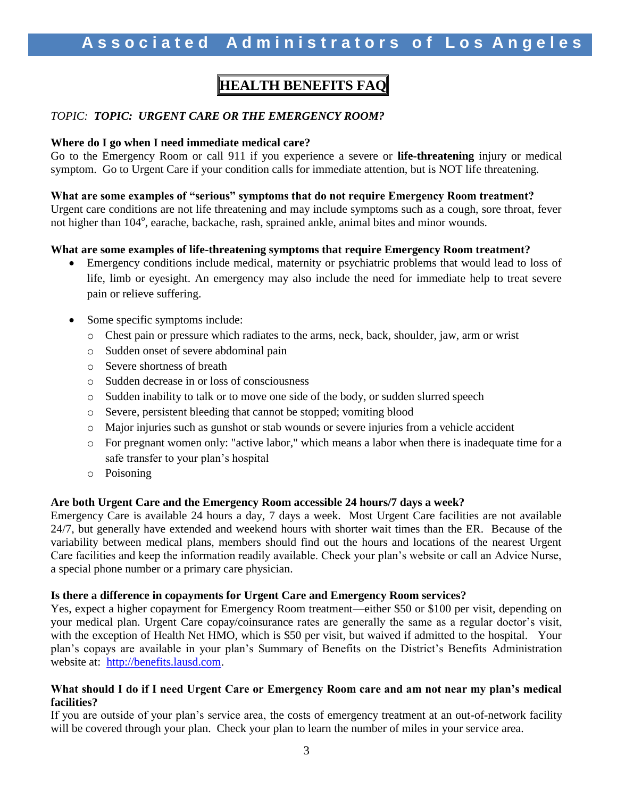# **HEALTH BENEFITS FAQ**

### *TOPIC: TOPIC: URGENT CARE OR THE EMERGENCY ROOM?*

#### **Where do I go when I need immediate medical care?**

Go to the Emergency Room or call 911 if you experience a severe or **life-threatening** injury or medical symptom. Go to Urgent Care if your condition calls for immediate attention, but is NOT life threatening.

### **What are some examples of "serious" symptoms that do not require Emergency Room treatment?**

Urgent care conditions are not life threatening and may include symptoms such as a cough, sore throat, fever not higher than 104°, earache, backache, rash, sprained ankle, animal bites and minor wounds.

#### **What are some examples of life-threatening symptoms that require Emergency Room treatment?**

- Emergency conditions include medical, maternity or psychiatric problems that would lead to loss of life, limb or eyesight. An emergency may also include the need for immediate help to treat severe pain or relieve suffering.
- Some specific symptoms include:
	- o Chest pain or pressure which radiates to the arms, neck, back, shoulder, jaw, arm or wrist
	- o Sudden onset of severe abdominal pain
	- o Severe shortness of breath
	- o Sudden decrease in or loss of consciousness
	- o Sudden inability to talk or to move one side of the body, or sudden slurred speech
	- o Severe, persistent bleeding that cannot be stopped; vomiting blood
	- o Major injuries such as gunshot or stab wounds or severe injuries from a vehicle accident
	- o For pregnant women only: "active labor," which means a labor when there is inadequate time for a safe transfer to your plan's hospital
	- o Poisoning

#### **Are both Urgent Care and the Emergency Room accessible 24 hours/7 days a week?**

Emergency Care is available 24 hours a day, 7 days a week. Most Urgent Care facilities are not available 24/7, but generally have extended and weekend hours with shorter wait times than the ER. Because of the variability between medical plans, members should find out the hours and locations of the nearest Urgent Care facilities and keep the information readily available. Check your plan's website or call an Advice Nurse, a special phone number or a primary care physician.

#### **Is there a difference in copayments for Urgent Care and Emergency Room services?**

Yes, expect a higher copayment for Emergency Room treatment—either \$50 or \$100 per visit, depending on your medical plan. Urgent Care copay/coinsurance rates are generally the same as a regular doctor's visit, with the exception of Health Net HMO, which is \$50 per visit, but waived if admitted to the hospital. Your plan's copays are available in your plan's Summary of Benefits on the District's Benefits Administration website at: [http://benefits.lausd.com.](http://benefits.lausd.com/)

#### **What should I do if I need Urgent Care or Emergency Room care and am not near my plan's medical facilities?**

If you are outside of your plan's service area, the costs of emergency treatment at an out-of-network facility will be covered through your plan. Check your plan to learn the number of miles in your service area.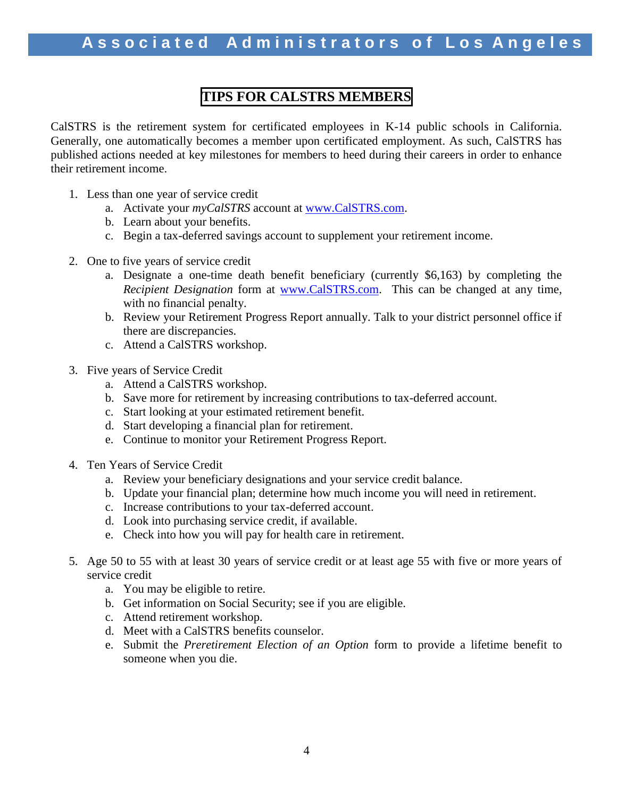### **TIPS FOR CALSTRS MEMBERS**

CalSTRS is the retirement system for certificated employees in K-14 public schools in California. Generally, one automatically becomes a member upon certificated employment. As such, CalSTRS has published actions needed at key milestones for members to heed during their careers in order to enhance their retirement income.

- 1. Less than one year of service credit
	- a. Activate your *myCalSTRS* account at [www.CalSTRS.com.](http://www.calstrs.com/)
	- b. Learn about your benefits.
	- c. Begin a tax-deferred savings account to supplement your retirement income.
- 2. One to five years of service credit
	- a. Designate a one-time death benefit beneficiary (currently \$6,163) by completing the *Recipient Designation* form at [www.CalSTRS.com.](http://www.calstrs.com/) This can be changed at any time, with no financial penalty.
	- b. Review your Retirement Progress Report annually. Talk to your district personnel office if there are discrepancies.
	- c. Attend a CalSTRS workshop.
- 3. Five years of Service Credit
	- a. Attend a CalSTRS workshop.
	- b. Save more for retirement by increasing contributions to tax-deferred account.
	- c. Start looking at your estimated retirement benefit.
	- d. Start developing a financial plan for retirement.
	- e. Continue to monitor your Retirement Progress Report.
- 4. Ten Years of Service Credit
	- a. Review your beneficiary designations and your service credit balance.
	- b. Update your financial plan; determine how much income you will need in retirement.
	- c. Increase contributions to your tax-deferred account.
	- d. Look into purchasing service credit, if available.
	- e. Check into how you will pay for health care in retirement.
- 5. Age 50 to 55 with at least 30 years of service credit or at least age 55 with five or more years of service credit
	- a. You may be eligible to retire.
	- b. Get information on Social Security; see if you are eligible.
	- c. Attend retirement workshop.
	- d. Meet with a CalSTRS benefits counselor.
	- e. Submit the *Preretirement Election of an Option* form to provide a lifetime benefit to someone when you die.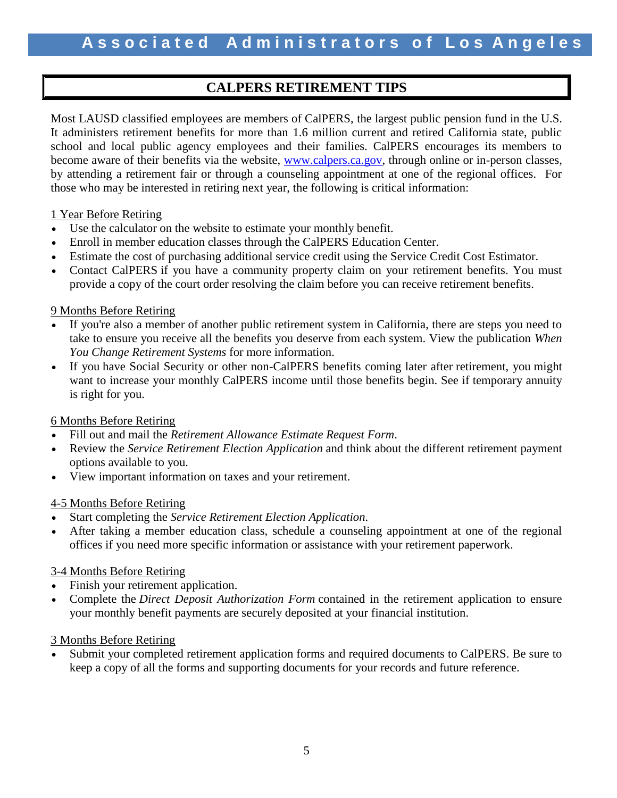### **CALPERS RETIREMENT TIPS**

Most LAUSD classified employees are members of CalPERS, the largest public pension fund in the U.S. It administers retirement benefits for more than 1.6 million current and retired California state, public school and local public agency employees and their families. CalPERS encourages its members to become aware of their benefits via the website, [www.calpers.ca.gov,](http://www.calpers.ca.gov/) through online or in-person classes, by attending a retirement fair or through a counseling appointment at one of the regional offices. For those who may be interested in retiring next year, the following is critical information:

### 1 Year Before Retiring

- Use the calculator on the website to estimate your monthly benefit.
- Enroll in member education classes through the CalPERS Education Center.
- Estimate the cost of purchasing additional service credit using the Service Credit Cost Estimator.
- Contact CalPERS if you have a community property claim on your retirement benefits. You must provide a copy of the court order resolving the claim before you can receive retirement benefits.

### 9 Months Before Retiring

- If you're also a member of another public retirement system in California, there are steps you need to take to ensure you receive all the benefits you deserve from each system. View the publication *When You Change Retirement Systems* for more information.
- If you have Social Security or other non-CalPERS benefits coming later after retirement, you might want to increase your monthly CalPERS income until those benefits begin. See if temporary annuity is right for you.

### 6 Months Before Retiring

- Fill out and mail the *Retirement Allowance Estimate Request Form*.
- Review the *Service Retirement Election Application* and think about the different retirement payment options available to you.
- View important information on taxes and your retirement.

### 4-5 Months Before Retiring

- Start completing the *Service Retirement Election Application*.
- After taking a member education class, schedule a counseling appointment at one of the regional offices if you need more specific information or assistance with your retirement paperwork.

### 3-4 Months Before Retiring

- Finish your retirement application.
- Complete the *Direct Deposit Authorization Form* contained in the retirement application to ensure your monthly benefit payments are securely deposited at your financial institution.

### 3 Months Before Retiring

 Submit your completed retirement application forms and required documents to CalPERS. Be sure to keep a copy of all the forms and supporting documents for your records and future reference.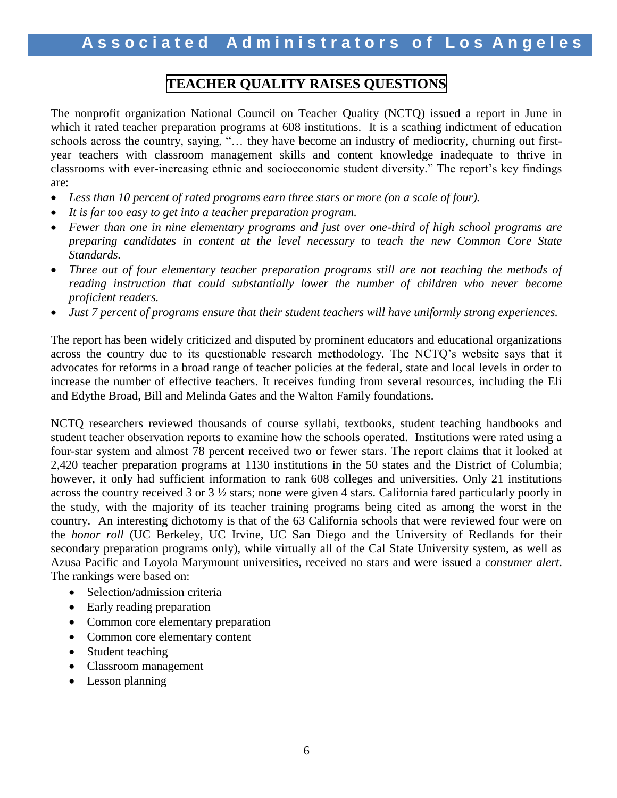### **TEACHER QUALITY RAISES QUESTIONS**

The nonprofit organization National Council on Teacher Quality (NCTQ) issued a report in June in which it rated teacher preparation programs at 608 institutions. It is a scathing indictment of education schools across the country, saying, "… they have become an industry of mediocrity, churning out firstyear teachers with classroom management skills and content knowledge inadequate to thrive in classrooms with ever-increasing ethnic and socioeconomic student diversity." The report's key findings are:

- *Less than 10 percent of rated programs earn three stars or more (on a scale of four).*
- *It is far too easy to get into a teacher preparation program.*
- *Fewer than one in nine elementary programs and just over one-third of high school programs are preparing candidates in content at the level necessary to teach the new Common Core State Standards.*
- Three out of four elementary teacher preparation programs still are not teaching the methods of *reading instruction that could substantially lower the number of children who never become proficient readers.*
- *Just 7 percent of programs ensure that their student teachers will have uniformly strong experiences.*

The report has been widely criticized and disputed by prominent educators and educational organizations across the country due to its questionable research methodology. The NCTQ's website says that it advocates for reforms in a broad range of teacher policies at the federal, state and local levels in order to increase the number of effective teachers. It receives funding from several resources, including the Eli and Edythe Broad, Bill and Melinda Gates and the Walton Family foundations.

NCTQ researchers reviewed thousands of course syllabi, textbooks, student teaching handbooks and student teacher observation reports to examine how the schools operated. Institutions were rated using a four-star system and almost 78 percent received two or fewer stars. The report claims that it looked at 2,420 teacher preparation programs at 1130 institutions in the 50 states and the District of Columbia; however, it only had sufficient information to rank 608 colleges and universities. Only 21 institutions across the country received 3 or 3 ½ stars; none were given 4 stars. California fared particularly poorly in the study, with the majority of its teacher training programs being cited as among the worst in the country. An interesting dichotomy is that of the 63 California schools that were reviewed four were on the *honor roll* (UC Berkeley, UC Irvine, UC San Diego and the University of Redlands for their secondary preparation programs only), while virtually all of the Cal State University system, as well as Azusa Pacific and Loyola Marymount universities, received no stars and were issued a *consumer alert*. The rankings were based on:

- Selection/admission criteria
- Early reading preparation
- Common core elementary preparation
- Common core elementary content
- Student teaching
- Classroom management
- Lesson planning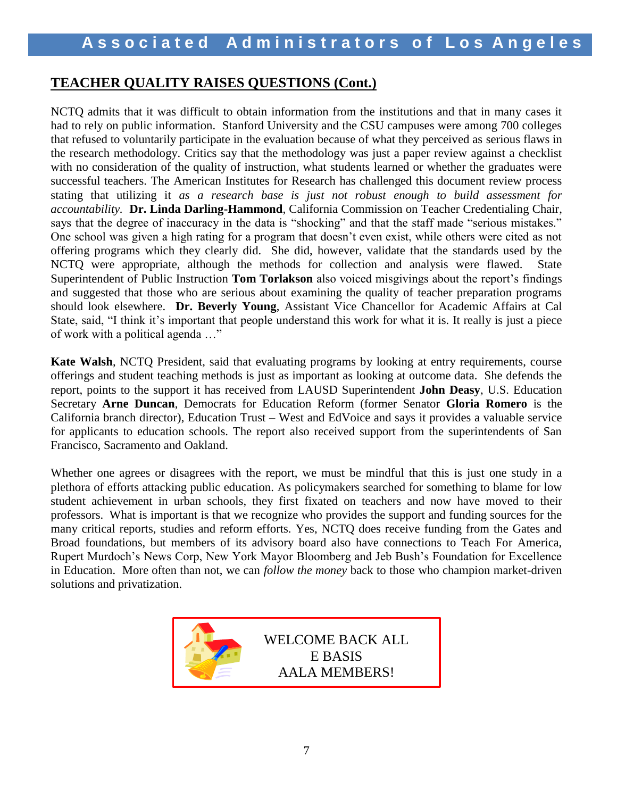### **TEACHER QUALITY RAISES QUESTIONS (Cont.)**

NCTQ admits that it was difficult to obtain information from the institutions and that in many cases it had to rely on public information. Stanford University and the CSU campuses were among 700 colleges that refused to voluntarily participate in the evaluation because of what they perceived as serious flaws in the research methodology. Critics say that the methodology was just a paper review against a checklist with no consideration of the quality of instruction, what students learned or whether the graduates were successful teachers. The American Institutes for Research has challenged this document review process stating that utilizing it *as a research base is just not robust enough to build assessment for accountability.* **Dr. Linda Darling-Hammond**, California Commission on Teacher Credentialing Chair, says that the degree of inaccuracy in the data is "shocking" and that the staff made "serious mistakes." One school was given a high rating for a program that doesn't even exist, while others were cited as not offering programs which they clearly did. She did, however, validate that the standards used by the NCTQ were appropriate, although the methods for collection and analysis were flawed. State Superintendent of Public Instruction **Tom Torlakson** also voiced misgivings about the report's findings and suggested that those who are serious about examining the quality of teacher preparation programs should look elsewhere. **Dr. Beverly Young**, Assistant Vice Chancellor for Academic Affairs at Cal State, said, "I think it's important that people understand this work for what it is. It really is just a piece of work with a political agenda …"

**Kate Walsh**, NCTQ President, said that evaluating programs by looking at entry requirements, course offerings and student teaching methods is just as important as looking at outcome data. She defends the report, points to the support it has received from LAUSD Superintendent **John Deasy**, U.S. Education Secretary **Arne Duncan**, Democrats for Education Reform (former Senator **Gloria Romero** is the California branch director), Education Trust – West and EdVoice and says it provides a valuable service for applicants to education schools. The report also received support from the superintendents of San Francisco, Sacramento and Oakland.

Whether one agrees or disagrees with the report, we must be mindful that this is just one study in a plethora of efforts attacking public education. As policymakers searched for something to blame for low student achievement in urban schools, they first fixated on teachers and now have moved to their professors.What is important is that we recognize who provides the support and funding sources for the many critical reports, studies and reform efforts. Yes, NCTQ does receive funding from the Gates and Broad foundations, but members of its advisory board also have connections to Teach For America, Rupert Murdoch's News Corp, New York Mayor Bloomberg and Jeb Bush's Foundation for Excellence in Education. More often than not, we can *follow the money* back to those who champion market-driven solutions and privatization.

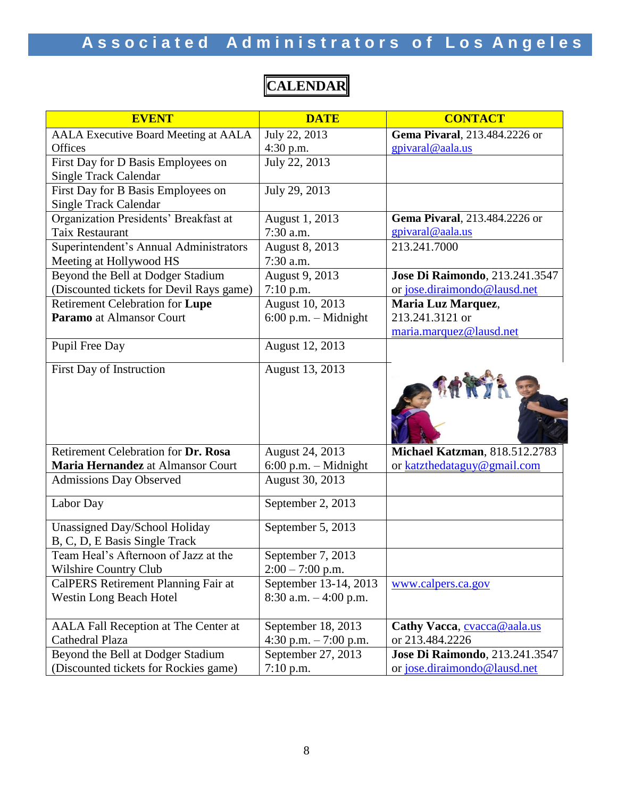# Associated Administrators of Los Angeles

| <b>EVENT</b>                                | <b>DATE</b>              | <b>CONTACT</b>                         |
|---------------------------------------------|--------------------------|----------------------------------------|
| <b>AALA Executive Board Meeting at AALA</b> | July 22, 2013            | Gema Pivaral, 213.484.2226 or          |
| Offices                                     | 4:30 p.m.                | gpivaral@aala.us                       |
| First Day for D Basis Employees on          | July 22, 2013            |                                        |
| <b>Single Track Calendar</b>                |                          |                                        |
| First Day for B Basis Employees on          | July 29, 2013            |                                        |
| <b>Single Track Calendar</b>                |                          |                                        |
| Organization Presidents' Breakfast at       | August 1, 2013           | Gema Pivaral, 213.484.2226 or          |
| Taix Restaurant                             | $7:30$ a.m.              | gpivaral@aala.us                       |
| Superintendent's Annual Administrators      | August 8, 2013           | 213.241.7000                           |
| Meeting at Hollywood HS                     | 7:30 a.m.                |                                        |
| Beyond the Bell at Dodger Stadium           | August 9, 2013           | Jose Di Raimondo, 213.241.3547         |
| (Discounted tickets for Devil Rays game)    | $7:10$ p.m.              | or jose.diraimondo@lausd.net           |
| Retirement Celebration for Lupe             | August 10, 2013          | Maria Luz Marquez,                     |
| Paramo at Almansor Court                    | $6:00$ p.m. - Midnight   | 213.241.3121 or                        |
|                                             |                          | maria.marquez@lausd.net                |
| Pupil Free Day                              | August 12, 2013          |                                        |
| First Day of Instruction                    | August 13, 2013          |                                        |
|                                             |                          |                                        |
| Retirement Celebration for Dr. Rosa         | August 24, 2013          | <b>Michael Katzman</b> , 818.512.2783  |
| Maria Hernandez at Almansor Court           | $6:00$ p.m. - Midnight   | or katzthedataguy@gmail.com            |
| <b>Admissions Day Observed</b>              | August 30, 2013          |                                        |
| Labor Day                                   | September 2, 2013        |                                        |
| Unassigned Day/School Holiday               | September 5, 2013        |                                        |
| B, C, D, E Basis Single Track               |                          |                                        |
| Team Heal's Afternoon of Jazz at the        | September 7, 2013        |                                        |
| Wilshire Country Club                       | $2:00 - 7:00$ p.m.       |                                        |
| CalPERS Retirement Planning Fair at         | September 13-14, 2013    | www.calpers.ca.gov                     |
| <b>Westin Long Beach Hotel</b>              | $8:30$ a.m. $-4:00$ p.m. |                                        |
|                                             |                          |                                        |
| AALA Fall Reception at The Center at        | September 18, 2013       | Cathy Vacca, cvacca@aala.us            |
| Cathedral Plaza                             | 4:30 p.m. $-7:00$ p.m.   | or 213.484.2226                        |
| Beyond the Bell at Dodger Stadium           | September 27, 2013       | <b>Jose Di Raimondo</b> , 213.241.3547 |
| (Discounted tickets for Rockies game)       | $7:10$ p.m.              | or jose.diraimondo@lausd.net           |

# **CALENDAR**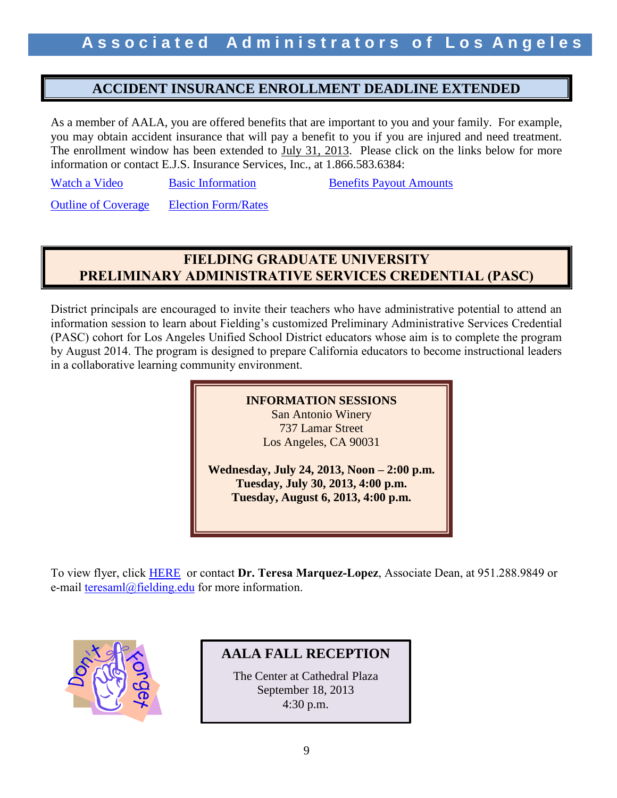### **ACCIDENT INSURANCE ENROLLMENT DEADLINE EXTENDED**

As a member of AALA, you are offered benefits that are important to you and your family. For example, you may obtain accident insurance that will pay a benefit to you if you are injured and need treatment. The enrollment window has been extended to July 31, 2013. Please click on the links below for more information or contact E.J.S. Insurance Services, Inc., at 1.866.583.6384:

[Watch a Video](http://www.pages01.net/unum/rovian/accident.html?webSyncID=8583b59d-f2eb-4e25-a8d8-401237037dee&vs=ZTkzZTgxN2UtZWE5Ni00ZjMzLTk2NmUtNGE4ZTA4NjZjMTdlOzsS1) [Basic Information](http://forms.unum.com/StreamPDF.aspx?strURL=/FMS_120632-1.pdf&strAudience=StreamByNumber) Benefits Payout Amounts

**[Outline of Coverage](http://forms.unum.com/StreamPDF.aspx?strURL=/FMS_040583-2.pdf&strAudience=StreamByNumber)** [Election Form/Rates](http://forms.unum.com/StreamPDF.aspx?strURL=/FMS_120650-1.pdf&strAudience=StreamByNumber)

### **FIELDING GRADUATE UNIVERSITY PRELIMINARY ADMINISTRATIVE SERVICES CREDENTIAL (PASC)**

District principals are encouraged to invite their teachers who have administrative potential to attend an information session to learn about Fielding's customized Preliminary Administrative Services Credential (PASC) cohort for Los Angeles Unified School District educators whose aim is to complete the program by August 2014. The program is designed to prepare California educators to become instructional leaders in a collaborative learning community environment.



To view flyer, click [HERE](http://www.aala.us/docs/2013/07/2013-LAUSD-Flier-5-28-13-R2-4corrected.docx) or contact **Dr. Teresa Marquez-Lopez**, Associate Dean, at 951.288.9849 or e-mail [teresaml@fielding.edu](mailto:teresaml@fielding.edu) for more information.



**AALA FALL RECEPTION**

The Center at Cathedral Plaza September 18, 2013 4:30 p.m.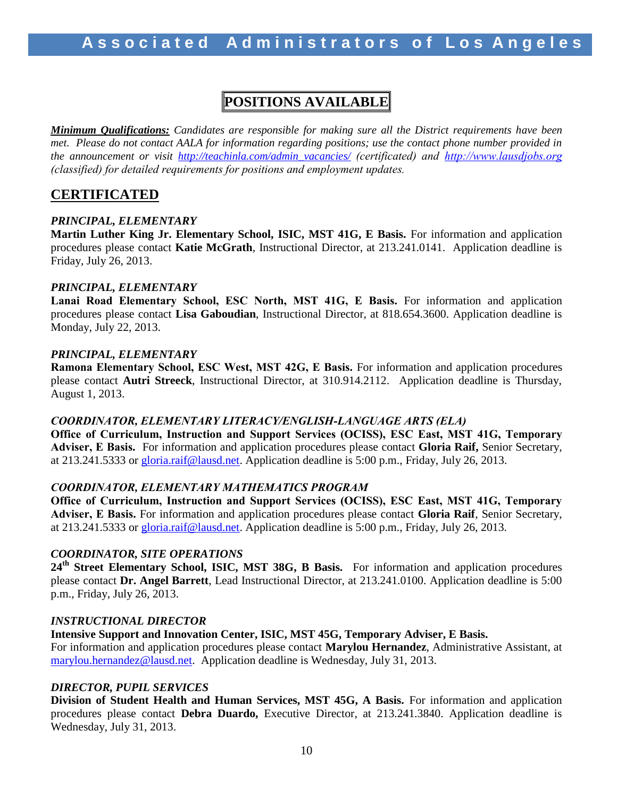## **POSITIONS AVAILABLE**

*Minimum Qualifications: Candidates are responsible for making sure all the District requirements have been met. Please do not contact AALA for information regarding positions; use the contact phone number provided in the announcement or visit [http://teachinla.com/admin\\_vacancies/](http://teachinla.com/admin_vacancies/) (certificated) and [http://www.lausdjobs.org](http://www.lausdjobs.org/)  (classified) for detailed requirements for positions and employment updates.*

### **CERTIFICATED**

### *PRINCIPAL, ELEMENTARY*

**Martin Luther King Jr. Elementary School, ISIC, MST 41G, E Basis.** For information and application procedures please contact **Katie McGrath**, Instructional Director, at 213.241.0141. Application deadline is Friday, July 26, 2013.

### *PRINCIPAL, ELEMENTARY*

**Lanai Road Elementary School, ESC North, MST 41G, E Basis.** For information and application procedures please contact **Lisa Gaboudian**, Instructional Director, at 818.654.3600. Application deadline is Monday, July 22, 2013.

### *PRINCIPAL, ELEMENTARY*

**Ramona Elementary School, ESC West, MST 42G, E Basis.** For information and application procedures please contact **Autri Streeck**, Instructional Director, at 310.914.2112. Application deadline is Thursday, August 1, 2013.

### *COORDINATOR, ELEMENTARY LITERACY/ENGLISH-LANGUAGE ARTS (ELA)*

**Office of Curriculum, Instruction and Support Services (OCISS), ESC East, MST 41G, Temporary Adviser, E Basis.** For information and application procedures please contact **Gloria Raif,** Senior Secretary, at 213.241.5333 or [gloria.raif@lausd.net.](mailto:gloria.raif@lausd.net) Application deadline is 5:00 p.m., Friday, July 26, 2013.

### *COORDINATOR, ELEMENTARY MATHEMATICS PROGRAM*

**Office of Curriculum, Instruction and Support Services (OCISS), ESC East, MST 41G, Temporary Adviser, E Basis.** For information and application procedures please contact **Gloria Raif**, Senior Secretary, at 213.241.5333 or [gloria.raif@lausd.net.](mailto:gloria.raif@lausd.net) Application deadline is 5:00 p.m., Friday, July 26, 2013.

#### *COORDINATOR, SITE OPERATIONS*

**24th Street Elementary School, ISIC, MST 38G, B Basis.** For information and application procedures please contact **Dr. Angel Barrett**, Lead Instructional Director, at 213.241.0100. Application deadline is 5:00 p.m., Friday, July 26, 2013.

#### *INSTRUCTIONAL DIRECTOR*

**Intensive Support and Innovation Center, ISIC, MST 45G, Temporary Adviser, E Basis.**

For information and application procedures please contact **Marylou Hernandez**, Administrative Assistant, at [marylou.hernandez@lausd.net.](mailto:marylou.hernandez@lausd.net) Application deadline is Wednesday, July 31, 2013.

#### *DIRECTOR, PUPIL SERVICES*

**Division of Student Health and Human Services, MST 45G, A Basis.** For information and application procedures please contact **Debra Duardo,** Executive Director, at 213.241.3840. Application deadline is Wednesday, July 31, 2013.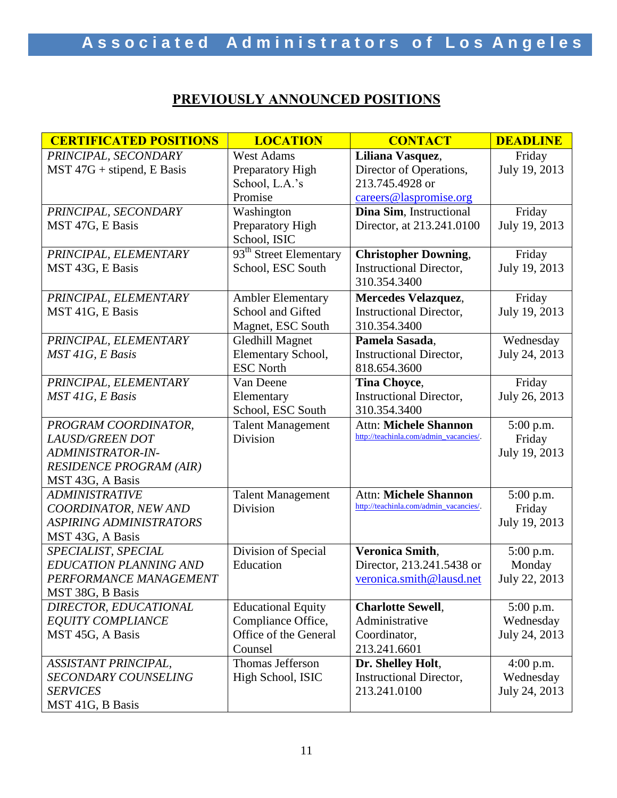# **PREVIOUSLY ANNOUNCED POSITIONS**

| <b>CERTIFICATED POSITIONS</b>  | <b>LOCATION</b>                    | <b>CONTACT</b>                         | <b>DEADLINE</b> |
|--------------------------------|------------------------------------|----------------------------------------|-----------------|
| PRINCIPAL, SECONDARY           | <b>West Adams</b>                  | Liliana Vasquez,                       | Friday          |
| $MST 47G + stipend, E Basis$   | Preparatory High                   | Director of Operations,                | July 19, 2013   |
|                                | School, L.A.'s                     | 213.745.4928 or                        |                 |
|                                | Promise                            | careers@laspromise.org                 |                 |
| PRINCIPAL, SECONDARY           | Washington                         | Dina Sim, Instructional                | Friday          |
| MST 47G, E Basis               | Preparatory High                   | Director, at 213.241.0100              | July 19, 2013   |
|                                | School, ISIC                       |                                        |                 |
| PRINCIPAL, ELEMENTARY          | 93 <sup>th</sup> Street Elementary | <b>Christopher Downing,</b>            | Friday          |
| MST 43G, E Basis               | School, ESC South                  | <b>Instructional Director,</b>         | July 19, 2013   |
|                                |                                    | 310.354.3400                           |                 |
| PRINCIPAL, ELEMENTARY          | <b>Ambler Elementary</b>           | <b>Mercedes Velazquez,</b>             | Friday          |
| MST 41G, E Basis               | School and Gifted                  | <b>Instructional Director,</b>         | July 19, 2013   |
|                                | Magnet, ESC South                  | 310.354.3400                           |                 |
| PRINCIPAL, ELEMENTARY          | <b>Gledhill Magnet</b>             | Pamela Sasada,                         | Wednesday       |
| MST 41G, E Basis               | Elementary School,                 | <b>Instructional Director,</b>         | July 24, 2013   |
|                                | <b>ESC North</b>                   | 818.654.3600                           |                 |
| PRINCIPAL, ELEMENTARY          | Van Deene                          | <b>Tina Choyce,</b>                    | Friday          |
| MST 41G, E Basis               | Elementary                         | <b>Instructional Director,</b>         | July 26, 2013   |
|                                | School, ESC South                  | 310.354.3400                           |                 |
| PROGRAM COORDINATOR,           | <b>Talent Management</b>           | <b>Attn: Michele Shannon</b>           | 5:00 p.m.       |
| LAUSD/GREEN DOT                | Division                           | http://teachinla.com/admin_vacancies/. | Friday          |
| ADMINISTRATOR-IN-              |                                    |                                        | July 19, 2013   |
| <b>RESIDENCE PROGRAM (AIR)</b> |                                    |                                        |                 |
| MST 43G, A Basis               |                                    |                                        |                 |
| <b>ADMINISTRATIVE</b>          | <b>Talent Management</b>           | <b>Attn: Michele Shannon</b>           | 5:00 p.m.       |
| COORDINATOR, NEW AND           | Division                           | http://teachinla.com/admin_vacancies/. | Friday          |
| <b>ASPIRING ADMINISTRATORS</b> |                                    |                                        | July 19, 2013   |
| MST 43G, A Basis               |                                    |                                        |                 |
| SPECIALIST, SPECIAL            | Division of Special                | <b>Veronica Smith,</b>                 | 5:00 p.m.       |
| <b>EDUCATION PLANNING AND</b>  | Education                          | Director, 213.241.5438 or              | Monday          |
| PERFORMANCE MANAGEMENT         |                                    | veronica.smith@lausd.net               | July 22, 2013   |
| MST 38G, B Basis               |                                    |                                        |                 |
| DIRECTOR, EDUCATIONAL          | <b>Educational Equity</b>          | <b>Charlotte Sewell,</b>               | $5:00$ p.m.     |
| <b>EQUITY COMPLIANCE</b>       | Compliance Office,                 | Administrative                         | Wednesday       |
| MST 45G, A Basis               | Office of the General              | Coordinator,                           | July 24, 2013   |
|                                | Counsel                            | 213.241.6601                           |                 |
| ASSISTANT PRINCIPAL,           | Thomas Jefferson                   | Dr. Shelley Holt,                      | $4:00$ p.m.     |
| SECONDARY COUNSELING           | High School, ISIC                  | <b>Instructional Director,</b>         | Wednesday       |
| <b>SERVICES</b>                |                                    | 213.241.0100                           | July 24, 2013   |
| MST 41G, B Basis               |                                    |                                        |                 |